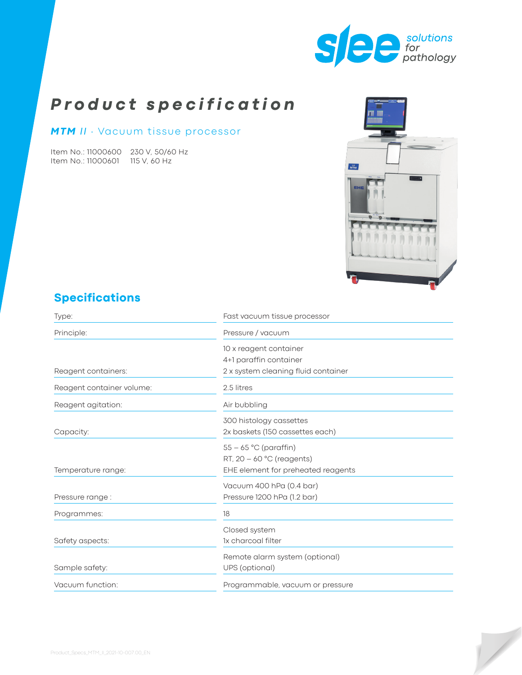

# *Product specification*

#### *MTM II* ∙ Vacuum tissue processor

Item No.: 11000600 230 V, 50/60 Hz Item No.: 11000601 115 V, 60 Hz



# **Specifications**

| Type:                     | Fast vacuum tissue processor        |  |
|---------------------------|-------------------------------------|--|
| Principle:                | Pressure / vacuum                   |  |
|                           | 10 x reagent container              |  |
|                           | 4+1 paraffin container              |  |
| Reagent containers:       | 2 x system cleaning fluid container |  |
| Reagent container volume: | 2.5 litres                          |  |
| Reagent agitation:        | Air bubbling                        |  |
|                           | 300 histology cassettes             |  |
| Capacity:                 | 2x baskets (150 cassettes each)     |  |
|                           | $55 - 65$ °C (paraffin)             |  |
|                           | RT, $20 - 60$ °C (reagents)         |  |
| Temperature range:        | EHE element for preheated reagents  |  |
|                           | Vacuum 400 hPa (0.4 bar)            |  |
| Pressure range:           | Pressure 1200 hPa (1.2 bar)         |  |
| Programmes:               | 18                                  |  |
|                           | Closed system                       |  |
| Safety aspects:           | 1x charcoal filter                  |  |
|                           | Remote alarm system (optional)      |  |
| Sample safety:            | UPS (optional)                      |  |
| Vacuum function:          | Programmable, vacuum or pressure    |  |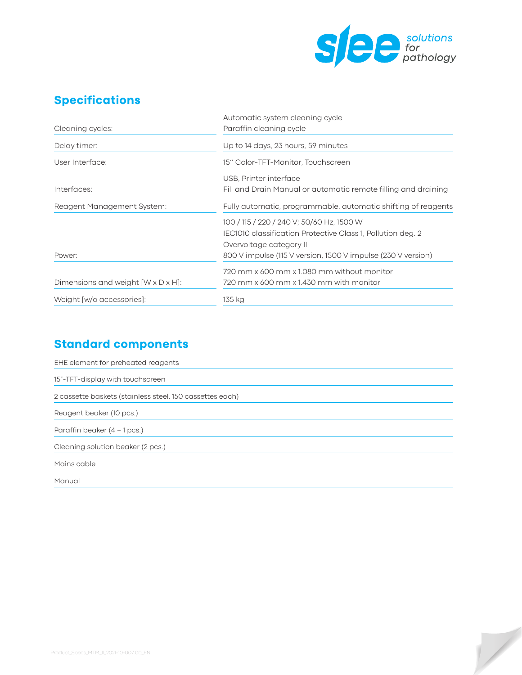

 $\sqrt{}$ 

#### **Specifications**

|                                    | Automatic system cleaning cycle                                |  |
|------------------------------------|----------------------------------------------------------------|--|
| Cleaning cycles:                   | Paraffin cleaning cycle                                        |  |
| Delay timer:                       | Up to 14 days, 23 hours, 59 minutes                            |  |
| User Interface:                    | 15" Color-TFT-Monitor, Touchscreen                             |  |
|                                    | USB, Printer interface                                         |  |
| Interfaces:                        | Fill and Drain Manual or automatic remote filling and draining |  |
| Reagent Management System:         | Fully automatic, programmable, automatic shifting of reagents  |  |
|                                    | 100 / 115 / 220 / 240 V; 50/60 Hz, 1500 W                      |  |
|                                    | IEC1010 classification Protective Class 1, Pollution deg. 2    |  |
|                                    | Overvoltage category II                                        |  |
| Power:                             | 800 V impulse (115 V version, 1500 V impulse (230 V version)   |  |
|                                    | 720 mm x 600 mm x 1.080 mm without monitor                     |  |
| Dimensions and weight [W x D x H]: | 720 mm x 600 mm x 1.430 mm with monitor                        |  |
| Weight [w/o accessories]:          | 135 kg                                                         |  |

## **Standard components**

| EHE element for preheated reagents                       |
|----------------------------------------------------------|
| 15"-TFT-display with touchscreen                         |
| 2 cassette baskets (stainless steel, 150 cassettes each) |
| Reagent beaker (10 pcs.)                                 |
| Paraffin beaker $(4 + 1$ pcs.)                           |
| Cleaning solution beaker (2 pcs.)                        |
| Mains cable                                              |
| Manual                                                   |